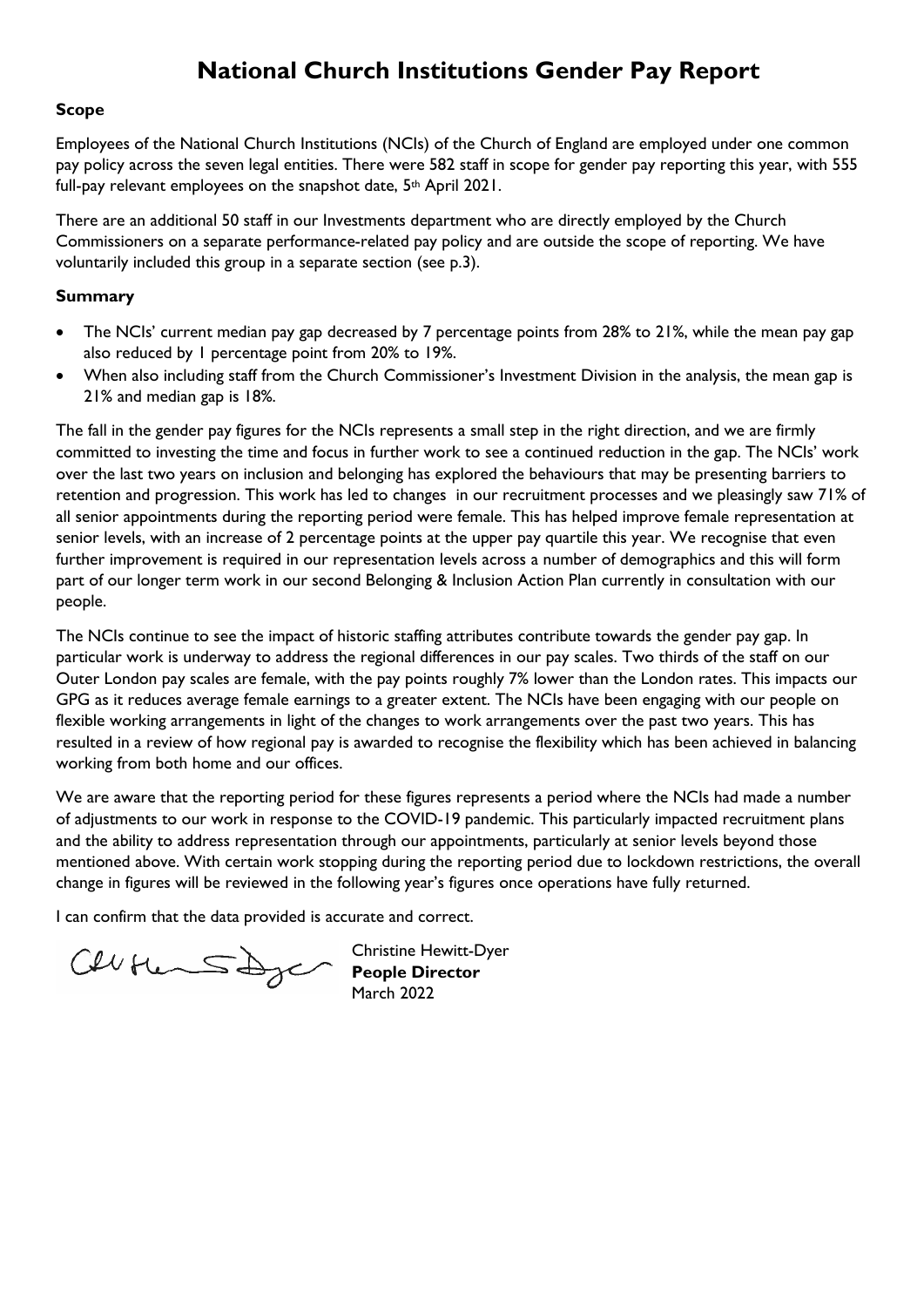# **National Church Institutions Gender Pay Report**

#### **Scope**

Employees of the National Church Institutions (NCIs) of the Church of England are employed under one common pay policy across the seven legal entities. There were 582 staff in scope for gender pay reporting this year, with 555 full-pay relevant employees on the snapshot date, 5<sup>th</sup> April 2021.

There are an additional 50 staff in our Investments department who are directly employed by the Church Commissioners on a separate performance-related pay policy and are outside the scope of reporting. We have voluntarily included this group in a separate section (see p.3).

#### **Summary**

- The NCIs' current median pay gap decreased by 7 percentage points from 28% to 21%, while the mean pay gap also reduced by 1 percentage point from 20% to 19%.
- When also including staff from the Church Commissioner's Investment Division in the analysis, the mean gap is 21% and median gap is 18%.

The fall in the gender pay figures for the NCIs represents a small step in the right direction, and we are firmly committed to investing the time and focus in further work to see a continued reduction in the gap. The NCIs' work over the last two years on inclusion and belonging has explored the behaviours that may be presenting barriers to retention and progression. This work has led to changes in our recruitment processes and we pleasingly saw 71% of all senior appointments during the reporting period were female. This has helped improve female representation at senior levels, with an increase of 2 percentage points at the upper pay quartile this year. We recognise that even further improvement is required in our representation levels across a number of demographics and this will form part of our longer term work in our second Belonging & Inclusion Action Plan currently in consultation with our people.

The NCIs continue to see the impact of historic staffing attributes contribute towards the gender pay gap. In particular work is underway to address the regional differences in our pay scales. Two thirds of the staff on our Outer London pay scales are female, with the pay points roughly 7% lower than the London rates. This impacts our GPG as it reduces average female earnings to a greater extent. The NCIs have been engaging with our people on flexible working arrangements in light of the changes to work arrangements over the past two years. This has resulted in a review of how regional pay is awarded to recognise the flexibility which has been achieved in balancing working from both home and our offices.

We are aware that the reporting period for these figures represents a period where the NCIs had made a number of adjustments to our work in response to the COVID-19 pandemic. This particularly impacted recruitment plans and the ability to address representation through our appointments, particularly at senior levels beyond those mentioned above. With certain work stopping during the reporting period due to lockdown restrictions, the overall change in figures will be reviewed in the following year's figures once operations have fully returned.

I can confirm that the data provided is accurate and correct.

Celle Hemmes De Christine Hewini-

Christine Hewitt-Dyer March 2022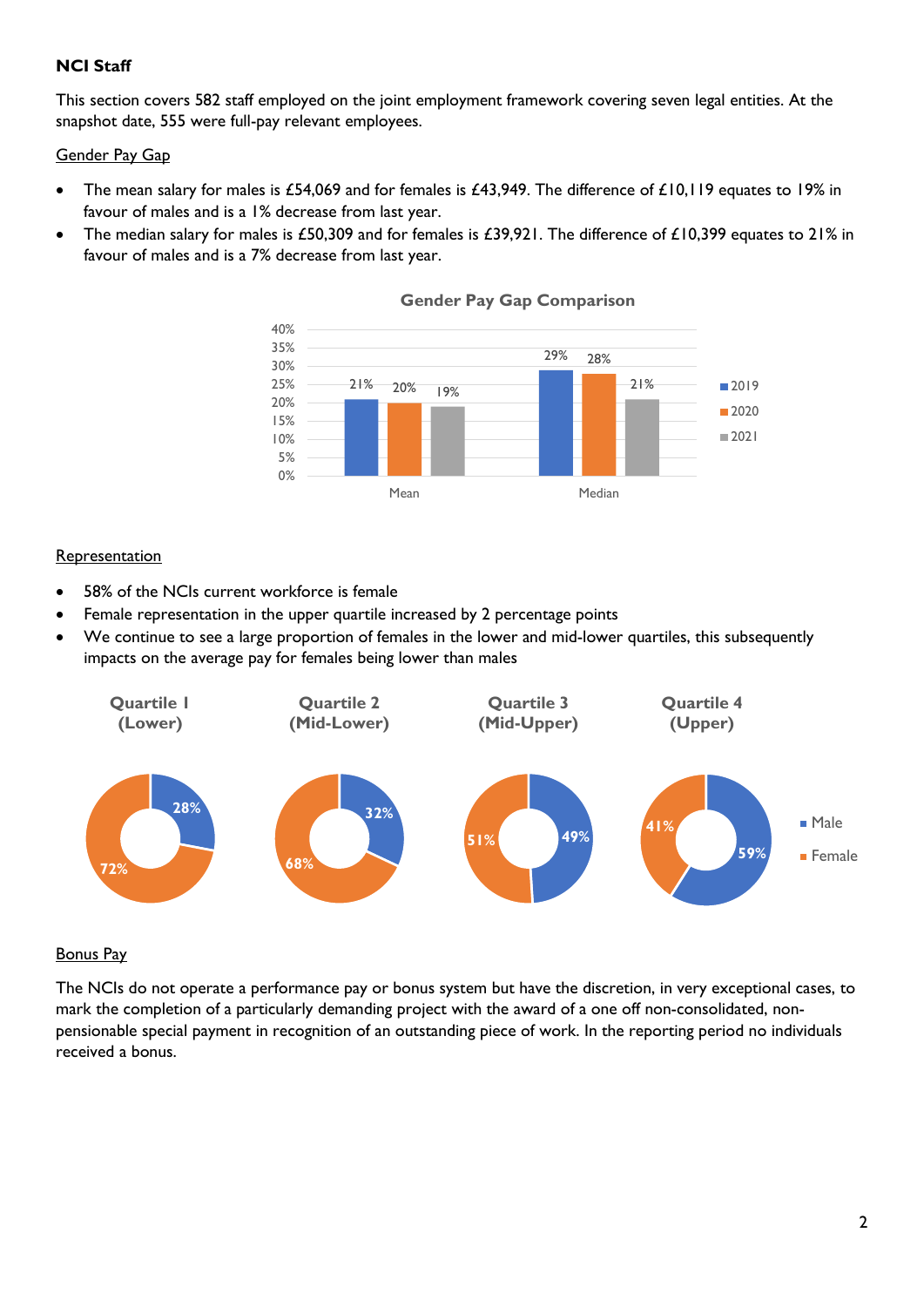### **NCI Staff**

This section covers 582 staff employed on the joint employment framework covering seven legal entities. At the snapshot date, 555 were full-pay relevant employees.

#### Gender Pay Gap

- The mean salary for males is £54,069 and for females is £43,949. The difference of £10,119 equates to 19% in favour of males and is a 1% decrease from last year.
- The median salary for males is £50,309 and for females is £39,921. The difference of £10,399 equates to 21% in favour of males and is a 7% decrease from last year.



#### **Gender Pay Gap Comparison**

#### **Representation**

- 58% of the NCIs current workforce is female
- Female representation in the upper quartile increased by 2 percentage points
- We continue to see a large proportion of females in the lower and mid-lower quartiles, this subsequently impacts on the average pay for females being lower than males



#### Bonus Pay

The NCIs do not operate a performance pay or bonus system but have the discretion, in very exceptional cases, to mark the completion of a particularly demanding project with the award of a one off non-consolidated, nonpensionable special payment in recognition of an outstanding piece of work. In the reporting period no individuals received a bonus.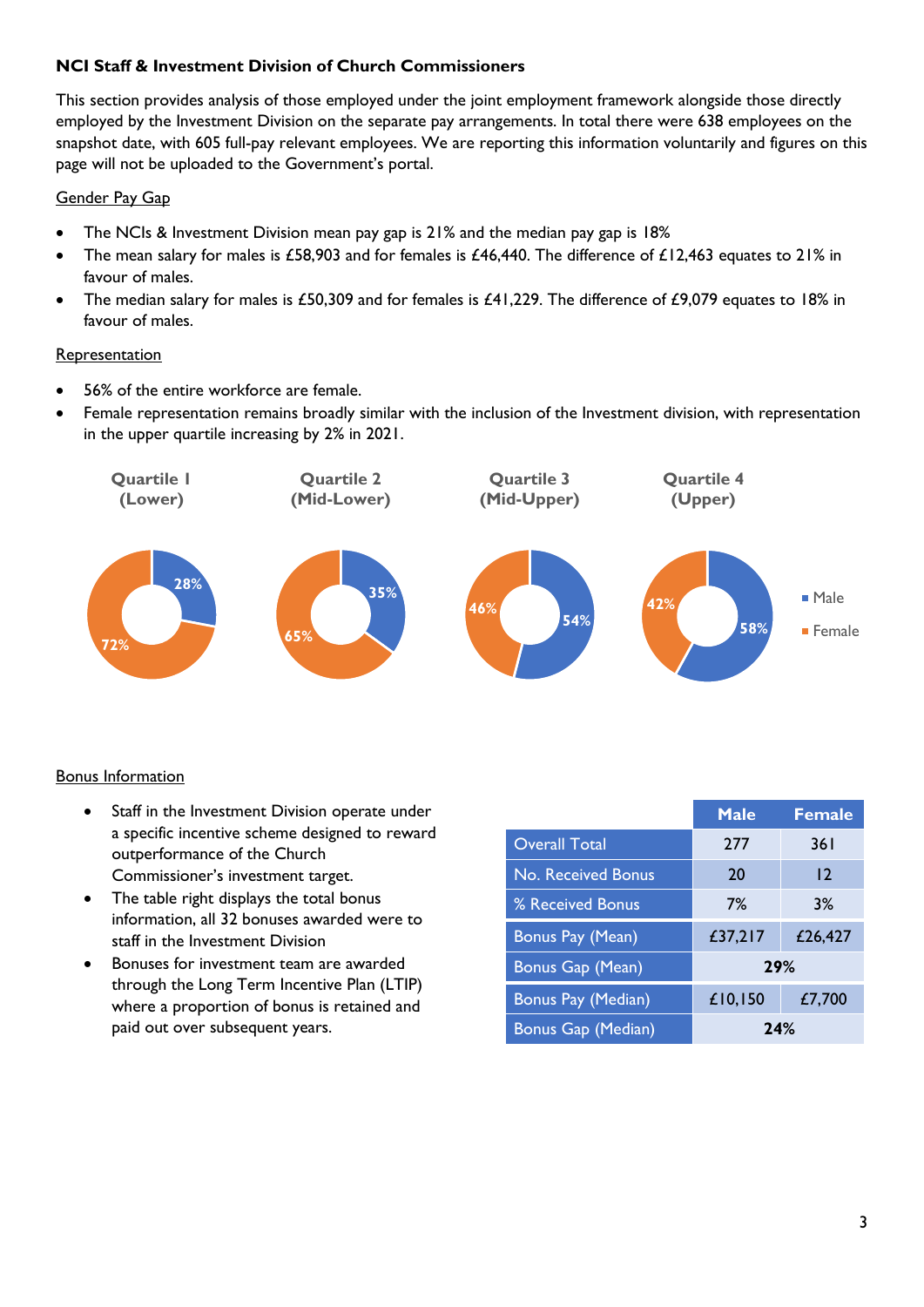### **NCI Staff & Investment Division of Church Commissioners**

This section provides analysis of those employed under the joint employment framework alongside those directly employed by the Investment Division on the separate pay arrangements. In total there were 638 employees on the snapshot date, with 605 full-pay relevant employees. We are reporting this information voluntarily and figures on this page will not be uploaded to the Government's portal.

### Gender Pay Gap

- The NCIs & Investment Division mean pay gap is 21% and the median pay gap is 18%
- The mean salary for males is £58,903 and for females is £46,440. The difference of £12,463 equates to 21% in favour of males.
- The median salary for males is £50,309 and for females is £41,229. The difference of £9,079 equates to 18% in favour of males.

### **Representation**

- 56% of the entire workforce are female.
- Female representation remains broadly similar with the inclusion of the Investment division, with representation in the upper quartile increasing by 2% in 2021.



### Bonus Information

- Staff in the Investment Division operate under a specific incentive scheme designed to reward outperformance of the Church Commissioner's investment target.
- The table right displays the total bonus information, all 32 bonuses awarded were to staff in the Investment Division
- Bonuses for investment team are awarded through the Long Term Incentive Plan (LTIP) where a proportion of bonus is retained and paid out over subsequent years.

|                         | <b>Male</b> | <b>Female</b> |
|-------------------------|-------------|---------------|
| <b>Overall Total</b>    | 277         | 36 I          |
| No. Received Bonus      | 20          | 12            |
| % Received Bonus        | 7%          | 3%            |
| <b>Bonus Pay (Mean)</b> | £37,217     | £26,427       |
| Bonus Gap (Mean)        | 29%         |               |
| Bonus Pay (Median)      | £10,150     | £7,700        |
| Bonus Gap (Median)      | 24%         |               |